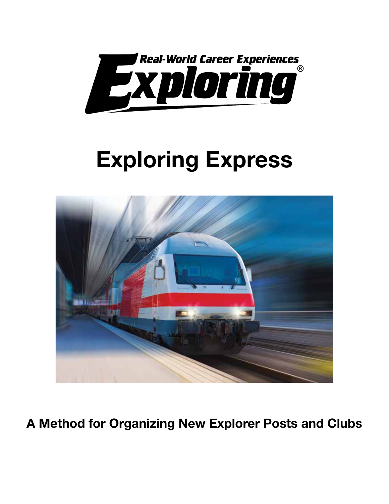

# Exploring Express



A Method for Organizing New Explorer Posts and Clubs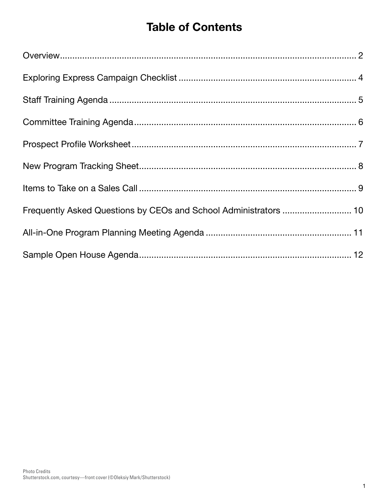# Table of Contents

| Frequently Asked Questions by CEOs and School Administrators  10 |  |
|------------------------------------------------------------------|--|
|                                                                  |  |
|                                                                  |  |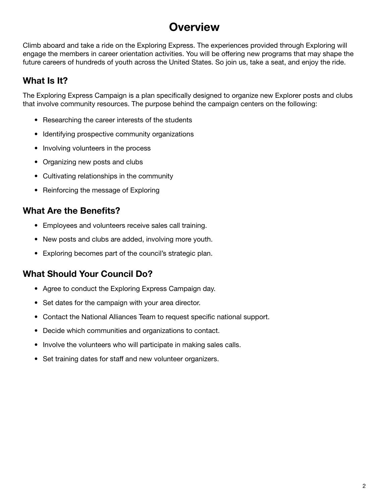# **Overview**

Climb aboard and take a ride on the Exploring Express. The experiences provided through Exploring will engage the members in career orientation activities. You will be offering new programs that may shape the future careers of hundreds of youth across the United States. So join us, take a seat, and enjoy the ride.

### What Is It?

The Exploring Express Campaign is a plan specifically designed to organize new Explorer posts and clubs that involve community resources. The purpose behind the campaign centers on the following:

- Researching the career interests of the students
- Identifying prospective community organizations
- Involving volunteers in the process
- Organizing new posts and clubs
- Cultivating relationships in the community
- Reinforcing the message of Exploring

### What Are the Benefits?

- Employees and volunteers receive sales call training.
- New posts and clubs are added, involving more youth.
- Exploring becomes part of the council's strategic plan.

### What Should Your Council Do?

- Agree to conduct the Exploring Express Campaign day.
- Set dates for the campaign with your area director.
- Contact the National Alliances Team to request specific national support.
- Decide which communities and organizations to contact.
- Involve the volunteers who will participate in making sales calls.
- Set training dates for staff and new volunteer organizers.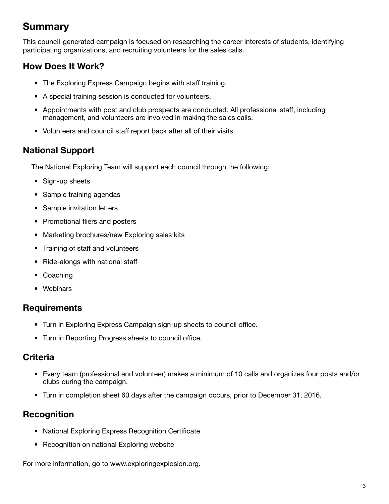### **Summary**

This council-generated campaign is focused on researching the career interests of students, identifying participating organizations, and recruiting volunteers for the sales calls.

### How Does It Work?

- The Exploring Express Campaign begins with staff training.
- A special training session is conducted for volunteers.
- Appointments with post and club prospects are conducted. All professional staff, including management, and volunteers are involved in making the sales calls.
- Volunteers and council staff report back after all of their visits.

### National Support

The National Exploring Team will support each council through the following:

- Sign-up sheets
- Sample training agendas
- Sample invitation letters
- Promotional fliers and posters
- Marketing brochures/new Exploring sales kits
- Training of staff and volunteers
- Ride-alongs with national staff
- Coaching
- Webinars

### **Requirements**

- Turn in Exploring Express Campaign sign-up sheets to council office.
- Turn in Reporting Progress sheets to council office.

### **Criteria**

- Every team (professional and volunteer) makes a minimum of 10 calls and organizes four posts and/or clubs during the campaign.
- Turn in completion sheet 60 days after the campaign occurs, prior to December 31, 2016.

### **Recognition**

- National Exploring Express Recognition Certificate
- Recognition on national Exploring website

For more information, go to www.exploringexplosion.org.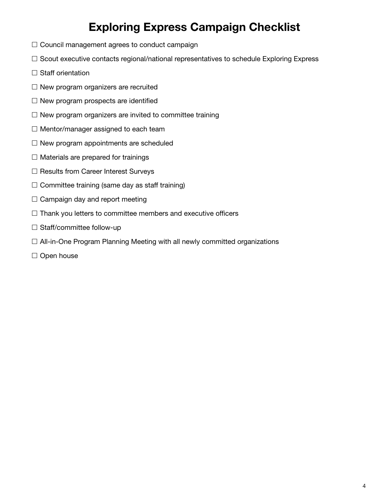# Exploring Express Campaign Checklist

- $\square$  Council management agrees to conduct campaign
- $\square$  Scout executive contacts regional/national representatives to schedule Exploring Express
- $\square$  Staff orientation
- $\square$  New program organizers are recruited
- $\square$  New program prospects are identified
- $\square$  New program organizers are invited to committee training
- $\square$  Mentor/manager assigned to each team
- $\square$  New program appointments are scheduled
- $\square$  Materials are prepared for trainings
- □ Results from Career Interest Surveys
- $\square$  Committee training (same day as staff training)
- $\square$  Campaign day and report meeting
- $\square$  Thank you letters to committee members and executive officers
- $\square$  Staff/committee follow-up
- □ All-in-One Program Planning Meeting with all newly committed organizations
- $\square$  Open house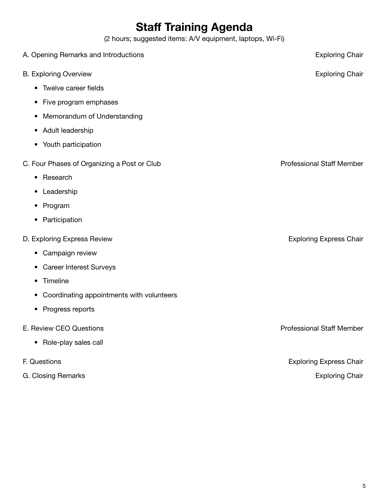# Staff Training Agenda

(2 hours; suggested items: A/V equipment, laptops, Wi-Fi)

| A. Opening Remarks and Introductions        | <b>Exploring Chair</b>           |
|---------------------------------------------|----------------------------------|
| <b>B. Exploring Overview</b>                | <b>Exploring Chair</b>           |
| • Twelve career fields                      |                                  |
| • Five program emphases                     |                                  |
| Memorandum of Understanding<br>$\bullet$    |                                  |
| • Adult leadership                          |                                  |
| • Youth participation                       |                                  |
| C. Four Phases of Organizing a Post or Club | <b>Professional Staff Member</b> |
| • Research                                  |                                  |
| • Leadership                                |                                  |
| • Program                                   |                                  |
| • Participation                             |                                  |
| D. Exploring Express Review                 | <b>Exploring Express Chair</b>   |
| • Campaign review                           |                                  |
| • Career Interest Surveys                   |                                  |
| Timeline<br>$\bullet$                       |                                  |
| • Coordinating appointments with volunteers |                                  |
| Progress reports<br>$\bullet$               |                                  |
| E. Review CEO Questions                     | <b>Professional Staff Member</b> |
| • Role-play sales call                      |                                  |
| F. Questions                                | <b>Exploring Express Chair</b>   |
| G. Closing Remarks                          | <b>Exploring Chair</b>           |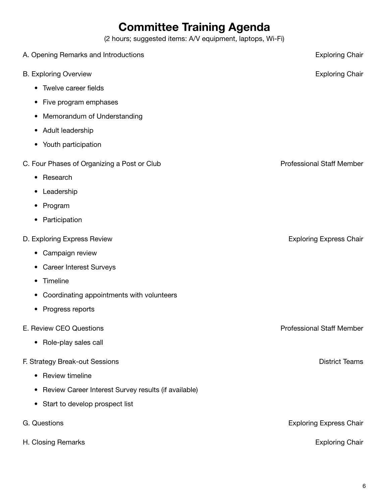# Committee Training Agenda

(2 hours; suggested items: A/V equipment, laptops, Wi-Fi)

| A. Opening Remarks and Introductions                              | <b>Exploring Chair</b>           |
|-------------------------------------------------------------------|----------------------------------|
| <b>B. Exploring Overview</b>                                      | <b>Exploring Chair</b>           |
| Twelve career fields<br>$\bullet$                                 |                                  |
| Five program emphases<br>$\bullet$                                |                                  |
| Memorandum of Understanding<br>$\bullet$                          |                                  |
| Adult leadership<br>$\bullet$                                     |                                  |
| Youth participation<br>$\bullet$                                  |                                  |
| C. Four Phases of Organizing a Post or Club                       | <b>Professional Staff Member</b> |
| Research<br>$\bullet$                                             |                                  |
| Leadership<br>٠                                                   |                                  |
| Program<br>$\bullet$                                              |                                  |
| Participation<br>$\bullet$                                        |                                  |
| D. Exploring Express Review                                       | <b>Exploring Express Chair</b>   |
| Campaign review<br>$\bullet$                                      |                                  |
| <b>Career Interest Surveys</b><br>$\bullet$                       |                                  |
| Timeline<br>$\bullet$                                             |                                  |
| Coordinating appointments with volunteers<br>$\bullet$            |                                  |
| Progress reports<br>٠                                             |                                  |
| E. Review CEO Questions                                           | <b>Professional Staff Member</b> |
| Role-play sales call<br>$\bullet$                                 |                                  |
| F. Strategy Break-out Sessions                                    | <b>District Teams</b>            |
| Review timeline<br>$\bullet$                                      |                                  |
| Review Career Interest Survey results (if available)<br>$\bullet$ |                                  |
| Start to develop prospect list<br>$\bullet$                       |                                  |
| G. Questions                                                      | <b>Exploring Express Chair</b>   |
| H. Closing Remarks                                                | <b>Exploring Chair</b>           |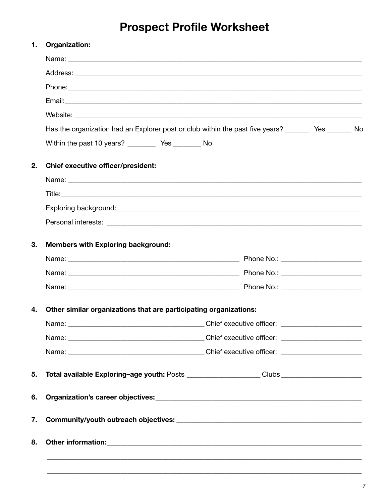# **Prospect Profile Worksheet**

| 1. | Organization:                                                                                                                 |                                  |  |  |  |  |
|----|-------------------------------------------------------------------------------------------------------------------------------|----------------------------------|--|--|--|--|
|    |                                                                                                                               |                                  |  |  |  |  |
|    |                                                                                                                               |                                  |  |  |  |  |
|    |                                                                                                                               |                                  |  |  |  |  |
|    |                                                                                                                               |                                  |  |  |  |  |
|    |                                                                                                                               |                                  |  |  |  |  |
|    | Has the organization had an Explorer post or club within the past five years? ________ Yes _______ No                         |                                  |  |  |  |  |
|    | Within the past 10 years? ____________ Yes ____________ No                                                                    |                                  |  |  |  |  |
| 2. | <b>Chief executive officer/president:</b>                                                                                     |                                  |  |  |  |  |
|    |                                                                                                                               |                                  |  |  |  |  |
|    |                                                                                                                               |                                  |  |  |  |  |
|    |                                                                                                                               |                                  |  |  |  |  |
|    |                                                                                                                               |                                  |  |  |  |  |
| 3. | <b>Members with Exploring background:</b>                                                                                     |                                  |  |  |  |  |
|    |                                                                                                                               |                                  |  |  |  |  |
|    |                                                                                                                               |                                  |  |  |  |  |
|    |                                                                                                                               |                                  |  |  |  |  |
| 4. | Other similar organizations that are participating organizations:                                                             |                                  |  |  |  |  |
|    | <u> 2000 - Jan James James James James James James James James James James James James James James James James J</u><br>Name: | Chief executive officer: _______ |  |  |  |  |
|    |                                                                                                                               |                                  |  |  |  |  |
|    |                                                                                                                               |                                  |  |  |  |  |
| 5. | Total available Exploring-age youth: Posts ___________________Clubs _____________                                             |                                  |  |  |  |  |
| 6. |                                                                                                                               |                                  |  |  |  |  |
| 7. |                                                                                                                               |                                  |  |  |  |  |
| 8. |                                                                                                                               |                                  |  |  |  |  |
|    |                                                                                                                               |                                  |  |  |  |  |
|    |                                                                                                                               |                                  |  |  |  |  |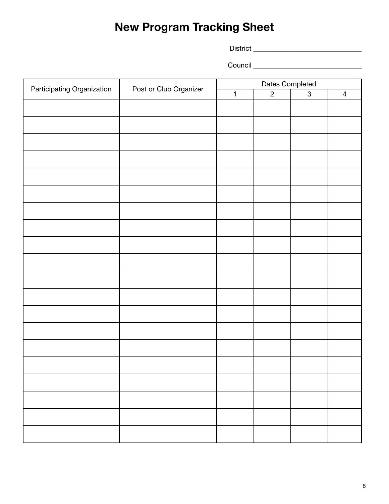# New Program Tracking Sheet

District \_\_\_\_\_\_\_\_\_\_\_\_\_\_\_\_\_\_\_\_\_\_\_\_\_\_\_\_\_\_\_

Council \_\_\_\_\_\_\_\_\_\_\_\_\_\_\_\_\_\_\_\_\_\_\_\_\_\_\_\_\_\_\_

|                                                      |              | Dates Completed |              |                |  |
|------------------------------------------------------|--------------|-----------------|--------------|----------------|--|
| Participating Organization<br>Post or Club Organizer | $\mathbf{1}$ | $\overline{2}$  | $\mathbf{3}$ | $\overline{4}$ |  |
|                                                      |              |                 |              |                |  |
|                                                      |              |                 |              |                |  |
|                                                      |              |                 |              |                |  |
|                                                      |              |                 |              |                |  |
|                                                      |              |                 |              |                |  |
|                                                      |              |                 |              |                |  |
|                                                      |              |                 |              |                |  |
|                                                      |              |                 |              |                |  |
|                                                      |              |                 |              |                |  |
|                                                      |              |                 |              |                |  |
|                                                      |              |                 |              |                |  |
|                                                      |              |                 |              |                |  |
|                                                      |              |                 |              |                |  |
|                                                      |              |                 |              |                |  |
|                                                      |              |                 |              |                |  |
|                                                      |              |                 |              |                |  |
|                                                      |              |                 |              |                |  |
|                                                      |              |                 |              |                |  |
|                                                      |              |                 |              |                |  |
|                                                      |              |                 |              |                |  |
|                                                      |              |                 |              |                |  |
|                                                      |              |                 |              |                |  |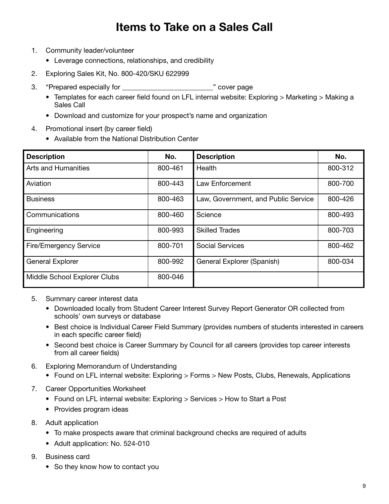### Items to Take on a Sales Call

- 1. Community leader/volunteer
	- Leverage connections, relationships, and credibility
- 2. Exploring Sales Kit, No. 800-420/SKU 622999
- 3. "Prepared especially for \_\_\_\_\_\_\_\_\_\_\_\_\_\_\_\_\_\_\_\_\_\_\_\_\_\_" cover page
	- Templates for each career field found on LFL internal website: Exploring > Marketing > Making a Sales Call
	- Download and customize for your prospect's name and organization
- 4. Promotional insert (by career field)
	- Available from the National Distribution Center

| <b>Description</b>            | No.     | <b>Description</b>                  | No.     |
|-------------------------------|---------|-------------------------------------|---------|
| <b>Arts and Humanities</b>    | 800-461 | Health                              | 800-312 |
| Aviation                      | 800-443 | Law Enforcement                     | 800-700 |
| <b>Business</b>               | 800-463 | Law, Government, and Public Service | 800-426 |
| Communications                | 800-460 | Science                             | 800-493 |
| Engineering                   | 800-993 | <b>Skilled Trades</b>               | 800-703 |
| <b>Fire/Emergency Service</b> | 800-701 | <b>Social Services</b>              | 800-462 |
| <b>General Explorer</b>       | 800-992 | General Explorer (Spanish)          | 800-034 |
| Middle School Explorer Clubs  | 800-046 |                                     |         |

- 5. Summary career interest data
	- Downloaded locally from Student Career Interest Survey Report Generator OR collected from schools' own surveys or database
	- Best choice is Individual Career Field Summary (provides numbers of students interested in careers in each specific career field)
	- Second best choice is Career Summary by Council for all careers (provides top career interests from all career fields)
- 6. Exploring Memorandum of Understanding
	- Found on LFL internal website: Exploring > Forms > New Posts, Clubs, Renewals, Applications
- 7. Career Opportunities Worksheet
	- Found on LFL internal website: Exploring > Services > How to Start a Post
	- Provides program ideas
- 8. Adult application
	- To make prospects aware that criminal background checks are required of adults
	- Adult application: No. 524-010
- 9. Business card
	- So they know how to contact you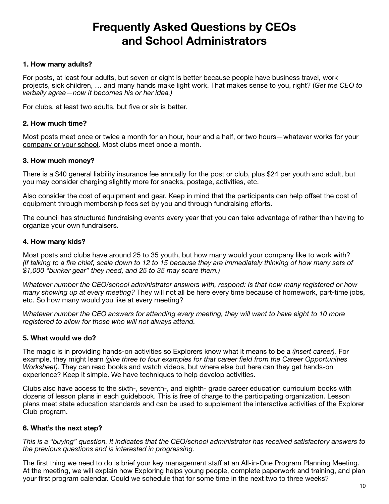# Frequently Asked Questions by CEOs and School Administrators

#### 1. How many adults?

For posts, at least four adults, but seven or eight is better because people have business travel, work projects, sick children, … and many hands make light work. That makes sense to you, right? (*Get the CEO to verbally agree—now it becomes his or her idea.)*

For clubs, at least two adults, but five or six is better.

#### 2. How much time?

Most posts meet once or twice a month for an hour, hour and a half, or two hours—whatever works for your company or your school. Most clubs meet once a month.

#### 3. How much money?

There is a \$40 general liability insurance fee annually for the post or club, plus \$24 per youth and adult, but you may consider charging slightly more for snacks, postage, activities, etc.

Also consider the cost of equipment and gear. Keep in mind that the participants can help offset the cost of equipment through membership fees set by you and through fundraising efforts.

The council has structured fundraising events every year that you can take advantage of rather than having to organize your own fundraisers.

#### 4. How many kids?

Most posts and clubs have around 25 to 35 youth, but how many would your company like to work with? *(If talking to a fire chief, scale down to 12 to 15 because they are immediately thinking of how many sets of \$1,000 "bunker gear" they need, and 25 to 35 may scare them.)*

*Whatever number the CEO/school administrator answers with, respond: Is that how many registered or how many showing up at every meeting?* They will not all be here every time because of homework, part-time jobs, etc. So how many would you like at every meeting?

*Whatever number the CEO answers for attending every meeting, they will want to have eight to 10 more registered to allow for those who will not always attend.*

#### 5. What would we do?

The magic is in providing hands-on activities so Explorers know what it means to be a *(insert career).* For example, they might learn *(give three to four examples for that career field from the Career Opportunities Worksheet).* They can read books and watch videos, but where else but here can they get hands-on experience? Keep it simple. We have techniques to help develop activities.

Clubs also have access to the sixth-, seventh-, and eighth- grade career education curriculum books with dozens of lesson plans in each guidebook. This is free of charge to the participating organization. Lesson plans meet state education standards and can be used to supplement the interactive activities of the Explorer Club program.

#### 6. What's the next step?

*This is a "buying" question. It indicates that the CEO/school administrator has received satisfactory answers to the previous questions and is interested in progressing.*

The first thing we need to do is brief your key management staff at an All-in-One Program Planning Meeting. At the meeting, we will explain how Exploring helps young people, complete paperwork and training, and plan your first program calendar. Could we schedule that for some time in the next two to three weeks?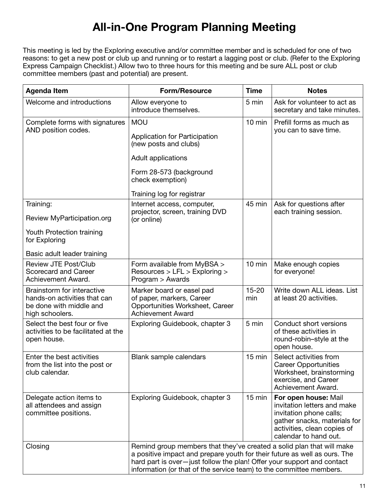# All-in-One Program Planning Meeting

This meeting is led by the Exploring executive and/or committee member and is scheduled for one of two reasons: to get a new post or club up and running or to restart a lagging post or club. (Refer to the Exploring Express Campaign Checklist.) Allow two to three hours for this meeting and be sure ALL post or club committee members (past and potential) are present.

| <b>Agenda Item</b>                                                                                                   | <b>Form/Resource</b>                                                                                                                                                                                                                                                                                | <b>Time</b>      | <b>Notes</b>                                                                                                                                                           |
|----------------------------------------------------------------------------------------------------------------------|-----------------------------------------------------------------------------------------------------------------------------------------------------------------------------------------------------------------------------------------------------------------------------------------------------|------------------|------------------------------------------------------------------------------------------------------------------------------------------------------------------------|
| Welcome and introductions                                                                                            | Allow everyone to<br>introduce themselves.                                                                                                                                                                                                                                                          | 5 min            | Ask for volunteer to act as<br>secretary and take minutes.                                                                                                             |
| Complete forms with signatures<br>AND position codes.                                                                | <b>MOU</b><br>Application for Participation<br>(new posts and clubs)<br>Adult applications<br>Form 28-573 (background<br>check exemption)<br>Training log for registrar                                                                                                                             | $10$ min         | Prefill forms as much as<br>you can to save time.                                                                                                                      |
| Training:<br>Review MyParticipation.org<br>Youth Protection training<br>for Exploring<br>Basic adult leader training | Internet access, computer,<br>projector, screen, training DVD<br>(or online)                                                                                                                                                                                                                        | 45 min           | Ask for questions after<br>each training session.                                                                                                                      |
| <b>Review JTE Post/Club</b><br><b>Scorecard and Career</b><br>Achievement Award.                                     | Form available from MyBSA ><br>Resources > LFL > Exploring ><br>Program > Awards                                                                                                                                                                                                                    | $10$ min         | Make enough copies<br>for everyone!                                                                                                                                    |
| Brainstorm for interactive<br>hands-on activities that can<br>be done with middle and<br>high schoolers.             | Marker board or easel pad<br>of paper, markers, Career<br>Opportunities Worksheet, Career<br><b>Achievement Award</b>                                                                                                                                                                               | $15 - 20$<br>min | Write down ALL ideas. List<br>at least 20 activities.                                                                                                                  |
| Select the best four or five<br>activities to be facilitated at the<br>open house.                                   | Exploring Guidebook, chapter 3                                                                                                                                                                                                                                                                      | 5 min            | Conduct short versions<br>of these activities in<br>round-robin-style at the<br>open house.                                                                            |
| Enter the best activities<br>from the list into the post or<br>club calendar.                                        | Blank sample calendars                                                                                                                                                                                                                                                                              | 15 min           | Select activities from<br><b>Career Opportunities</b><br>Worksheet, brainstorming<br>exercise, and Career<br>Achievement Award.                                        |
| Delegate action items to<br>all attendees and assign<br>committee positions.                                         | Exploring Guidebook, chapter 3                                                                                                                                                                                                                                                                      | $15 \text{ min}$ | For open house: Mail<br>invitation letters and make<br>invitation phone calls;<br>gather snacks, materials for<br>activities, clean copies of<br>calendar to hand out. |
| Closing                                                                                                              | Remind group members that they've created a solid plan that will make<br>a positive impact and prepare youth for their future as well as ours. The<br>hard part is over-just follow the plan! Offer your support and contact<br>information (or that of the service team) to the committee members. |                  |                                                                                                                                                                        |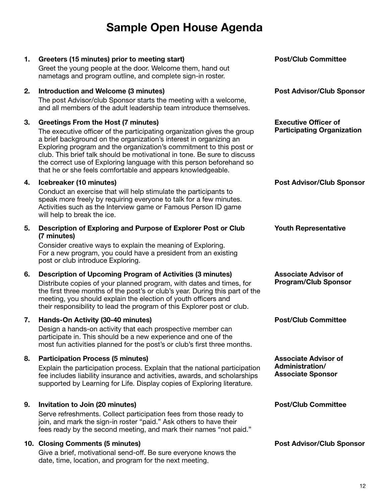### Sample Open House Agenda

#### 1. Greeters (15 minutes) prior to meeting start)

Greet the young people at the door. Welcome them, hand out nametags and program outline, and complete sign-in roster.

#### 2. Introduction and Welcome (3 minutes)

The post Advisor/club Sponsor starts the meeting with a welcome, and all members of the adult leadership team introduce themselves.

#### 3. Greetings From the Host (7 minutes)

The executive officer of the participating organization gives the group a brief background on the organization's interest in organizing an Exploring program and the organization's commitment to this post or club. This brief talk should be motivational in tone. Be sure to discuss the correct use of Exploring language with this person beforehand so that he or she feels comfortable and appears knowledgeable.

#### 4. Icebreaker (10 minutes)

Conduct an exercise that will help stimulate the participants to speak more freely by requiring everyone to talk for a few minutes. Activities such as the Interview game or Famous Person ID game will help to break the ice.

#### 5. Description of Exploring and Purpose of Explorer Post or Club (7 minutes)

Consider creative ways to explain the meaning of Exploring. For a new program, you could have a president from an existing post or club introduce Exploring.

#### 6. Description of Upcoming Program of Activities (3 minutes)

Distribute copies of your planned program, with dates and times, for the first three months of the post's or club's year. During this part of the meeting, you should explain the election of youth officers and their responsibility to lead the program of this Explorer post or club.

#### 7. Hands‐On Activity (30‐40 minutes)

Design a hands-on activity that each prospective member can participate in. This should be a new experience and one of the most fun activities planned for the post's or club's first three months.

#### 8. Participation Process (5 minutes)

Explain the participation process. Explain that the national participation fee includes liability insurance and activities, awards, and scholarships supported by Learning for Life. Display copies of Exploring literature.

#### 9. Invitation to Join (20 minutes)

Serve refreshments. Collect participation fees from those ready to join, and mark the sign-in roster "paid." Ask others to have their fees ready by the second meeting, and mark their names "not paid."

#### 10. Closing Comments (5 minutes)

Give a brief, motivational send-off. Be sure everyone knows the date, time, location, and program for the next meeting.

Post/Club Committee

Post Advisor/Club Sponsor

Executive Officer of Participating Organization

Post Advisor/Club Sponsor

Youth Representative

Associate Advisor of Program/Club Sponsor

Post/Club Committee

Associate Advisor of Administration/ Associate Sponsor

Post/Club Committee

Post Advisor/Club Sponsor